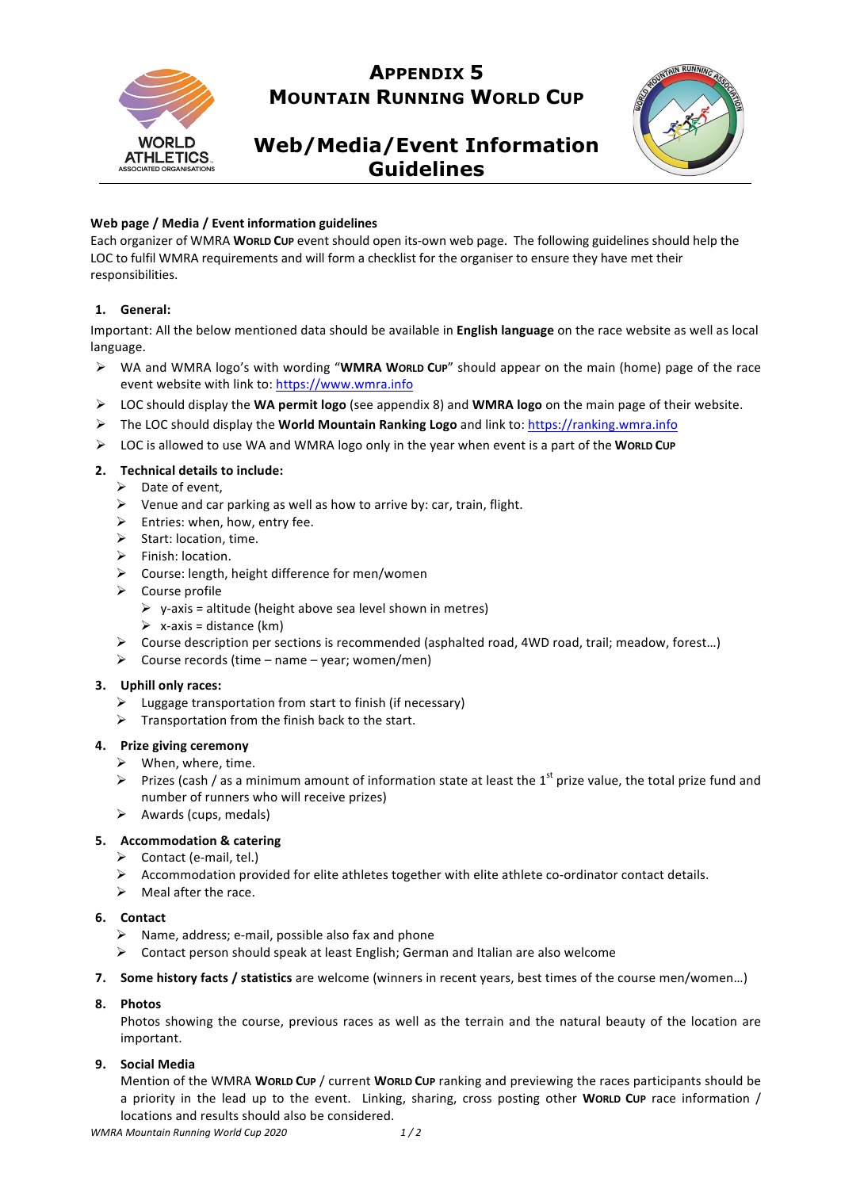

## **APPENDIX 5 MOUNTAIN RUNNING WORLD CUP**

# **Web/Media/Event Information Guidelines**



## Web page / Media / Event information guidelines

Each organizer of WMRA **WORLD CUP** event should open its-own web page. The following guidelines should help the LOC to fulfil WMRA requirements and will form a checklist for the organiser to ensure they have met their responsibilities.

## **1. General:**

Important: All the below mentioned data should be available in **English language** on the race website as well as local language.

- > WA and WMRA logo's with wording "WMRA WORLD Cup" should appear on the main (home) page of the race event website with link to: https://www.wmra.info
- $\triangleright$  LOC should display the **WA permit logo** (see appendix 8) and **WMRA logo** on the main page of their website.
- ▶ The LOC should display the **World Mountain Ranking Logo** and link to: https://ranking.wmra.info
- EDC is allowed to use WA and WMRA logo only in the year when event is a part of the WORLD CUP

### **2. Technical details to include:**

- $\triangleright$  Date of event,
- $\triangleright$  Venue and car parking as well as how to arrive by: car, train, flight.
- $\triangleright$  Entries: when, how, entry fee.
- $\triangleright$  Start: location, time.
- $\triangleright$  Finish: location.
- $\triangleright$  Course: length, height difference for men/women
- $\triangleright$  Course profile
	- $\triangleright$  y-axis = altitude (height above sea level shown in metres)
	- $\triangleright$  x-axis = distance (km)
- $\triangleright$  Course description per sections is recommended (asphalted road, 4WD road, trail; meadow, forest...)
- $\triangleright$  Course records (time name year; women/men)

### **3.** Uphill only races:

- $\triangleright$  Luggage transportation from start to finish (if necessary)
- $\triangleright$  Transportation from the finish back to the start.

## **4. Prize giving ceremony**

- $\triangleright$  When, where, time.
- Prizes (cash / as a minimum amount of information state at least the 1<sup>st</sup> prize value, the total prize fund and number of runners who will receive prizes)
- $\triangleright$  Awards (cups, medals)

## **5. Accommodation & catering**

- $\triangleright$  Contact (e-mail, tel.)
- $\triangleright$  Accommodation provided for elite athletes together with elite athlete co-ordinator contact details.
- $\triangleright$  Meal after the race.

### **6. Contact**

- $\triangleright$  Name, address; e-mail, possible also fax and phone
- $\triangleright$  Contact person should speak at least English; German and Italian are also welcome
- **7.** Some history facts / statistics are welcome (winners in recent years, best times of the course men/women...)

### **8. Photos**

Photos showing the course, previous races as well as the terrain and the natural beauty of the location are important.

### **9. Social Media**

Mention of the WMRA WORLD CUP / current WORLD CUP ranking and previewing the races participants should be a priority in the lead up to the event. Linking, sharing, cross posting other WORLD Cup race information / locations and results should also be considered.

*WMRA Mountain Running World Cup 2020 1 / 2*